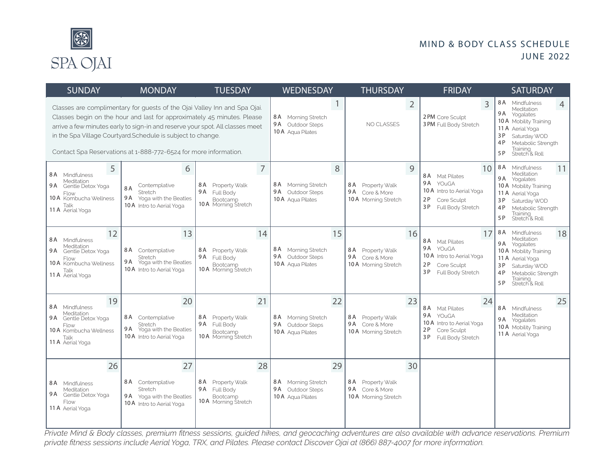

#### MIND & BODY CLASS SCHEDULE JUNE 2022

| <b>SUNDAY</b>                                                                                                             | <b>MONDAY</b>                                                                                                                                                                                                                                                                                                                                                            | <b>TUESDAY</b>                                                                                        | <b>WEDNESDAY</b>                                                          | <b>THURSDAY</b>                                                      | <b>FRIDAY</b>                                                                                                      | <b>SATURDAY</b>                                                                                                                                                                                    |
|---------------------------------------------------------------------------------------------------------------------------|--------------------------------------------------------------------------------------------------------------------------------------------------------------------------------------------------------------------------------------------------------------------------------------------------------------------------------------------------------------------------|-------------------------------------------------------------------------------------------------------|---------------------------------------------------------------------------|----------------------------------------------------------------------|--------------------------------------------------------------------------------------------------------------------|----------------------------------------------------------------------------------------------------------------------------------------------------------------------------------------------------|
|                                                                                                                           | Classes are complimentary for quests of the Ojai Valley Inn and Spa Ojai.<br>Classes begin on the hour and last for approximately 45 minutes. Please<br>arrive a few minutes early to sign-in and reserve your spot. All classes meet<br>in the Spa Village Courtyard.Schedule is subject to change.<br>Contact Spa Reservations at 1-888-772-6524 for more information. |                                                                                                       | 8A Morning Stretch<br>9 A<br>Outdoor Steps<br>10 A Aqua Pilates           | $\overline{2}$<br>NO CLASSES                                         | 3<br>2 PM Core Sculpt<br>3 PM Full Body Stretch                                                                    | 8 A<br>Mindfulness<br>4<br>Meditation<br>9A Yogalates<br>10 A Mobility Training<br>11 A Aerial Yoga<br>3P<br>Saturday WOD<br>4P<br>Metabolic Strength<br>Training<br>Stretch & Roll<br>5 P         |
| 5<br>8 A Mindfulness<br>Meditation<br>9A Gentle Detox Yoga<br>Flow<br>10 A Kombucha Wellness<br>Talk<br>11 A Aerial Yoga  | 6<br>Contemplative<br>8A<br>Stretch<br>9 A<br>Yoga with the Beatles<br>10 A Intro to Aerial Yoga                                                                                                                                                                                                                                                                         | $\overline{7}$<br>8 A<br>Property Walk<br>9 A<br><b>Full Body</b><br>Bootcamp<br>10 A Morning Stretch | 8<br>8A Morning Stretch<br>9A Outdoor Steps<br>10 A Aqua Pilates          | 9<br>8 A Property Walk<br>9A Core & More<br>10 A Morning Stretch     | 10<br>8 A<br>Mat Pilates<br>9A YOuGA<br>10 A Intro to Aerial Yoga<br>2P<br>Core Sculpt<br>3 P<br>Full Body Stretch | 8 A<br>Mindfulness<br>11<br>Meditation<br>9 A<br>Yogalates<br>10 A Mobility Training<br>11 A<br>Aerial Yoga<br>3 P<br>Saturday WOD<br>4P<br>Metabolic Strength<br>Training<br>Stretch & Roll<br>5P |
| 12<br>8 A Mindfulness<br>Meditation<br>9A Gentle Detox Yoga<br>Flow<br>10 A Kombucha Wellness<br>Talk<br>11 A Aerial Yoga | 13<br>8 A<br>Contemplative<br>Stretch<br>9 A<br>Yoga with the Beatles<br><b>10 A</b> Intro to Aerial Yoga                                                                                                                                                                                                                                                                | 14<br>8 A<br>Property Walk<br>9A Full Body<br>Bootcamp<br>10 A Morning Stretch                        | 15<br>8 A<br>Morning Stretch<br>9 A<br>Outdoor Steps<br>10 A Aqua Pilates | 16<br>8 A<br>Property Walk<br>9A Core & More<br>10 A Morning Stretch | 17<br>8 A Mat Pilates<br>9A YOUGA<br>10 A Intro to Aerial Yoga<br>2 P<br>Core Sculpt<br>3 P<br>Full Body Stretch   | 8A Mindfulness<br>18<br>Meditation<br>9A Yogalates<br>10 A Mobility Training<br>11 A Aerial Yoga<br>3P<br>Saturday WOD<br>4P<br>Metabolic Strength<br>Training<br>Stretch & Roll<br>5 P            |
| 19<br>8 A Mindfulness<br>Meditation<br>9A Gentle Detox Yoga<br>Flow<br>10 A Kombucha Wellness<br>Talk<br>11 A Aerial Yoga | 20<br>8A Contemplative<br>Stretch<br>9 A<br>Yoga with the Beatles<br><b>10 A</b> Intro to Aerial Yoga                                                                                                                                                                                                                                                                    | 21<br>8 A<br>Property Walk<br>9A Full Body<br>Bootcamp<br><b>10 A</b> Morning Stretch                 | 22<br>8A Morning Stretch<br>9A Outdoor Steps<br>10 A Aqua Pilates         | 23<br>8 A<br>Property Walk<br>9A Core & More<br>10 A Morning Stretch | 24<br>8 A Mat Pilates<br>9A YOuGA<br>10 A Intro to Aerial Yoga<br>2P<br>Core Sculpt<br>3 P<br>Full Body Stretch    | 25<br>8A Mindfulness<br>Meditation<br>9A Yogalates<br>10 A Mobility Training<br>11 A Aerial Yoga                                                                                                   |
| 26<br>8 A Mindfulness<br>Meditation<br>9 A Gentle Detox Yoga<br>Flow<br>11 A Aerial Yoga                                  | 27<br>8A Contemplative<br>Stretch<br>9A Yoga with the Beatles<br>10 A Intro to Aerial Yoga                                                                                                                                                                                                                                                                               | 28<br>8 A<br>Property Walk<br>9 A<br>Full Body<br>Bootcamp<br>10 A Morning Stretch                    | 29<br>8A Morning Stretch<br>9A Outdoor Steps<br>10 A Aqua Pilates         | 30<br>8 A<br>Property Walk<br>9A Core & More<br>10 A Morning Stretch |                                                                                                                    |                                                                                                                                                                                                    |

*Private Mind & Body classes, premium fitness sessions, guided hikes, and geocaching adventures are also available with advance reservations. Premium private fitness sessions include Aerial Yoga, TRX, and Pilates. Please contact Discover Ojai at (866) 887-4007 for more information.*